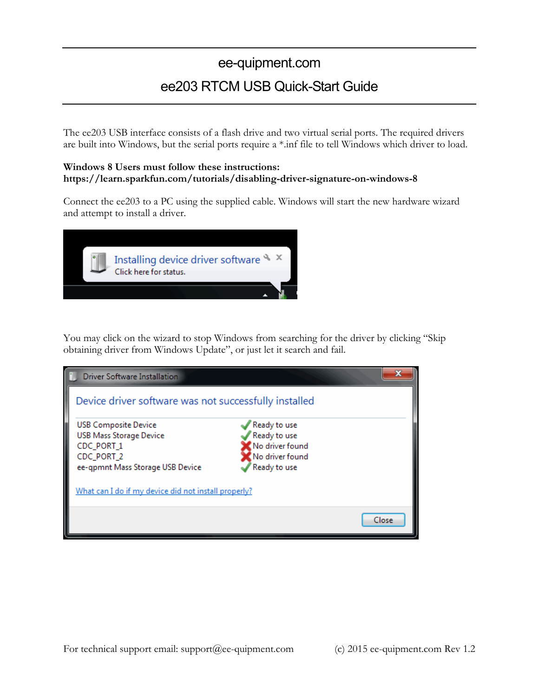# ee-quipment.com ee203 RTCM USB Quick-Start Guide

The ee203 USB interface consists of a flash drive and two virtual serial ports. The required drivers are built into Windows, but the serial ports require a \*.inf file to tell Windows which driver to load.

#### **Windows 8 Users must follow these instructions: https://learn.sparkfun.com/tutorials/disabling-driver-signature-on-windows-8**

Connect the ee203 to a PC using the supplied cable. Windows will start the new hardware wizard and attempt to install a driver.

| Installing device driver software $\frac{1}{2}$ ×<br>Click here for status. |  |
|-----------------------------------------------------------------------------|--|
|                                                                             |  |

You may click on the wizard to stop Windows from searching for the driver by clicking "Skip obtaining driver from Windows Update", or just let it search and fail.

| x<br>Driver Software Installation                                                                                             |                                                                                    |       |  |  |  |
|-------------------------------------------------------------------------------------------------------------------------------|------------------------------------------------------------------------------------|-------|--|--|--|
| Device driver software was not successfully installed                                                                         |                                                                                    |       |  |  |  |
| <b>USB Composite Device</b><br><b>USB Mass Storage Device</b><br>CDC_PORT_1<br>CDC_PORT_2<br>ee-gpmnt Mass Storage USB Device | Ready to use<br>Ready to use<br>No driver found<br>No driver found<br>Ready to use |       |  |  |  |
| What can I do if my device did not install properly?                                                                          |                                                                                    |       |  |  |  |
|                                                                                                                               |                                                                                    | Close |  |  |  |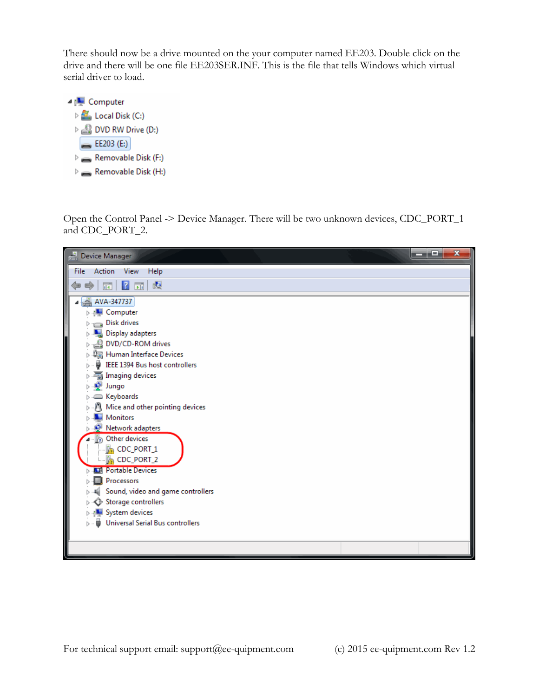There should now be a drive mounted on the your computer named EE203. Double click on the drive and there will be one file EE203SER.INF. This is the file that tells Windows which virtual serial driver to load.



Open the Control Panel -> Device Manager. There will be two unknown devices, CDC\_PORT\_1 and CDC\_PORT\_2.

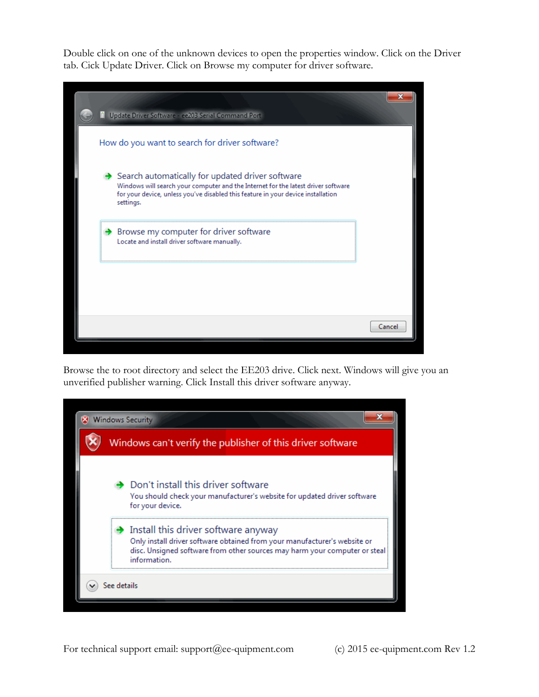Double click on one of the unknown devices to open the properties window. Click on the Driver tab. Cick Update Driver. Click on Browse my computer for driver software.

|  | Update Driver Software - ee203 Serial Command Port                                                                                                                                                                                     |        |
|--|----------------------------------------------------------------------------------------------------------------------------------------------------------------------------------------------------------------------------------------|--------|
|  | How do you want to search for driver software?                                                                                                                                                                                         |        |
|  | Search automatically for updated driver software<br>Windows will search your computer and the Internet for the latest driver software<br>for your device, unless you've disabled this feature in your device installation<br>settings. |        |
|  | $\rightarrow$ Browse my computer for driver software<br>Locate and install driver software manually.                                                                                                                                   |        |
|  |                                                                                                                                                                                                                                        |        |
|  |                                                                                                                                                                                                                                        | Cancel |

Browse the to root directory and select the EE203 drive. Click next. Windows will give you an unverified publisher warning. Click Install this driver software anyway.

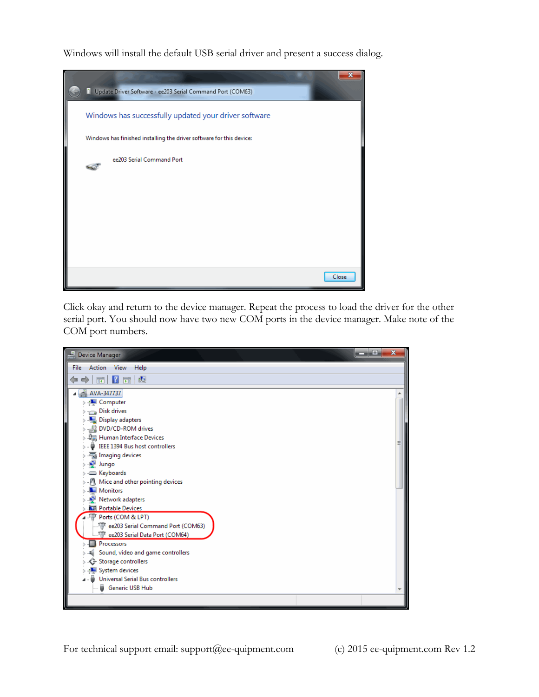Windows will install the default USB serial driver and present a success dialog.



Click okay and return to the device manager. Repeat the process to load the driver for the other serial port. You should now have two new COM ports in the device manager. Make note of the COM port numbers.

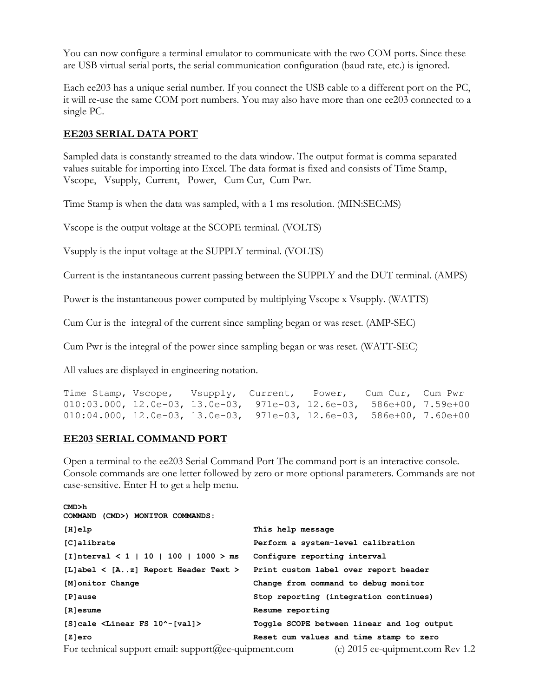You can now configure a terminal emulator to communicate with the two COM ports. Since these are USB virtual serial ports, the serial communication configuration (baud rate, etc.) is ignored.

Each ee203 has a unique serial number. If you connect the USB cable to a different port on the PC, it will re-use the same COM port numbers. You may also have more than one ee203 connected to a single PC.

#### **EE203 SERIAL DATA PORT**

Sampled data is constantly streamed to the data window. The output format is comma separated values suitable for importing into Excel. The data format is fixed and consists of Time Stamp, Vscope, Vsupply, Current, Power, Cum Cur, Cum Pwr.

Time Stamp is when the data was sampled, with a 1 ms resolution. (MIN:SEC:MS)

Vscope is the output voltage at the SCOPE terminal. (VOLTS)

Vsupply is the input voltage at the SUPPLY terminal. (VOLTS)

Current is the instantaneous current passing between the SUPPLY and the DUT terminal. (AMPS)

Power is the instantaneous power computed by multiplying Vscope x Vsupply. (WATTS)

Cum Cur is the integral of the current since sampling began or was reset. (AMP-SEC)

Cum Pwr is the integral of the power since sampling began or was reset. (WATT-SEC)

All values are displayed in engineering notation.

Time Stamp, Vscope, Vsupply, Current, Power, Cum Cur, Cum Pwr<br>010:03.000, 12.0e-03, 13.0e-03, 971e-03, 12.6e-03, 586e+00, 7.59e+00 010:03.000, 12.0e-03, 13.0e-03, 971e-03, 12.6e-03, 586e+00, 7.59e+00 010:04.000, 12.0e-03, 13.0e-03, 971e-03, 12.6e-03, 586e+00, 7.60e+00

#### **EE203 SERIAL COMMAND PORT**

Open a terminal to the ee203 Serial Command Port The command port is an interactive console. Console commands are one letter followed by zero or more optional parameters. Commands are not case-sensitive. Enter H to get a help menu.

| CMD>h<br>COMMAND (CMD>) MONITOR COMMANDS:                |                                            |
|----------------------------------------------------------|--------------------------------------------|
| $[H]$ elp                                                | This help message                          |
| [C]alibrate                                              | Perform a system-level calibration         |
| [I]nterval $\lt 1$   10   100   1000 > ms                | Configure reporting interval               |
| [L]abel $\langle$ [Az] Report Header Text $\rangle$      | Print custom label over report header      |
| [M] onitor Change                                        | Change from command to debug monitor       |
| [P]ause                                                  | Stop reporting (integration continues)     |
| [R]esume                                                 | Resume reporting                           |
| [S]cale <linear 10^-[val]="" fs=""></linear>             | Toggle SCOPE between linear and log output |
| [Z]ero                                                   | Reset cum values and time stamp to zero    |
| For technical support email: support $@ee$ -quipment.com | (c) $2015$ ee-quipment.com Rev 1.2         |